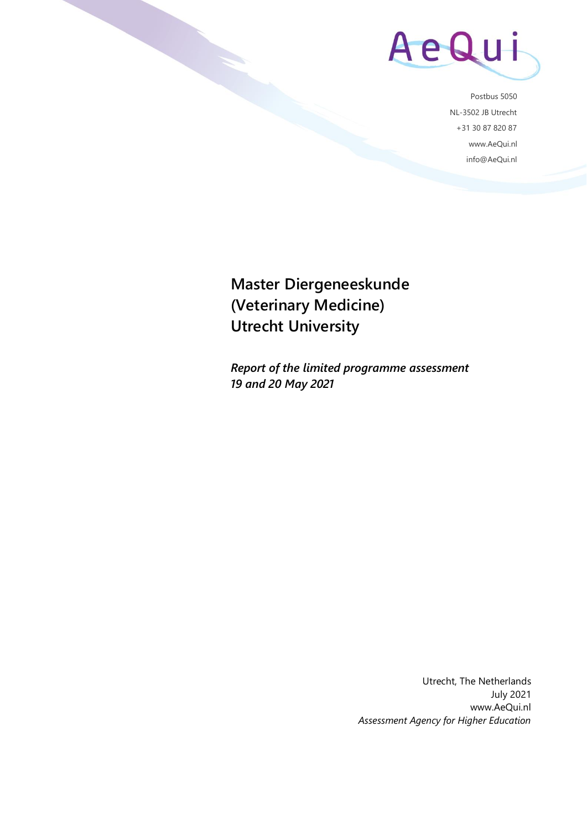

Postbus 5050 NL-3502 JB Utrecht +31 30 87 820 87 www.AeQui.nl info@AeQui.nl

**Master Diergeneeskunde (Veterinary Medicine) Utrecht University**

*Report of the limited programme assessment 19 and 20 May 2021*

> Utrecht, The Netherlands July 2021 www.AeQui.nl *Assessment Agency for Higher Education*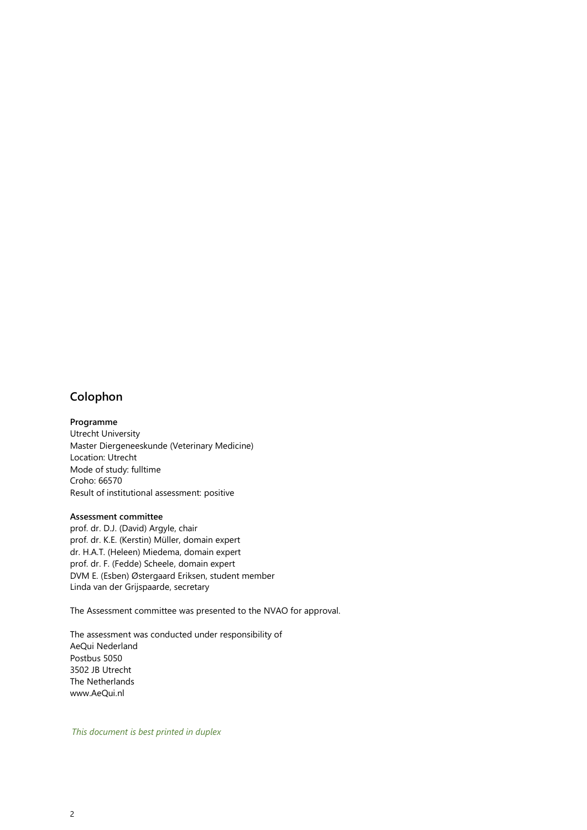# **Colophon**

**Programme** Utrecht University Master Diergeneeskunde (Veterinary Medicine) Location: Utrecht Mode of study: fulltime Croho: 66570

Result of institutional assessment: positive

#### **Assessment committee**

prof. dr. D.J. (David) Argyle, chair prof. dr. K.E. (Kerstin) Müller, domain expert dr. H.A.T. (Heleen) Miedema, domain expert prof. dr. F. (Fedde) Scheele, domain expert DVM E. (Esben) Østergaard Eriksen, student member Linda van der Grijspaarde, secretary

The Assessment committee was presented to the NVAO for approval.

The assessment was conducted under responsibility of AeQui Nederland Postbus 5050 3502 JB Utrecht The Netherlands www.AeQui.nl

*This document is best printed in duplex*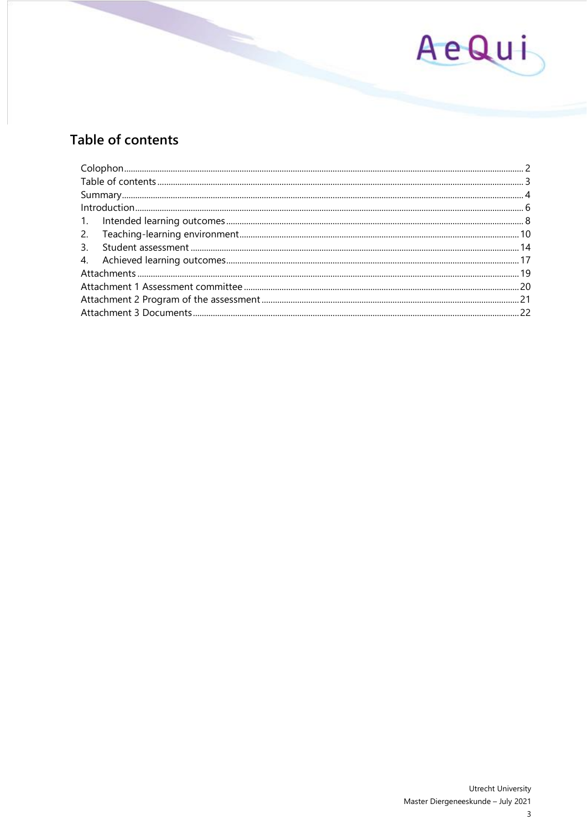

# Table of contents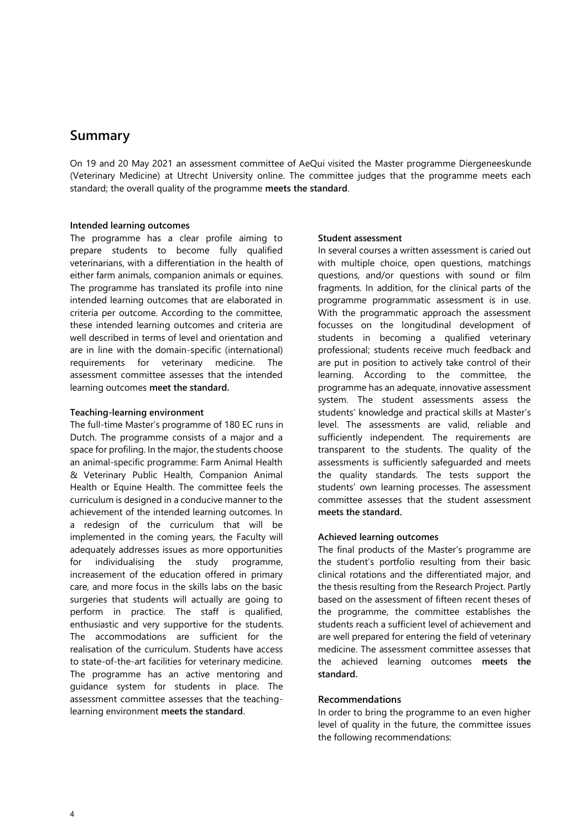# **Summary**

On 19 and 20 May 2021 an assessment committee of AeQui visited the Master programme Diergeneeskunde (Veterinary Medicine) at Utrecht University online. The committee judges that the programme meets each standard; the overall quality of the programme **meets the standard**.

#### **Intended learning outcomes**

The programme has a clear profile aiming to prepare students to become fully qualified veterinarians, with a differentiation in the health of either farm animals, companion animals or equines. The programme has translated its profile into nine intended learning outcomes that are elaborated in criteria per outcome. According to the committee, these intended learning outcomes and criteria are well described in terms of level and orientation and are in line with the domain-specific (international) requirements for veterinary medicine. The assessment committee assesses that the intended learning outcomes **meet the standard.** 

#### **Teaching-learning environment**

The full-time Master's programme of 180 EC runs in Dutch. The programme consists of a major and a space for profiling. In the major, the students choose an animal-specific programme: Farm Animal Health & Veterinary Public Health, Companion Animal Health or Equine Health. The committee feels the curriculum is designed in a conducive manner to the achievement of the intended learning outcomes. In a redesign of the curriculum that will be implemented in the coming years, the Faculty will adequately addresses issues as more opportunities for individualising the study programme, increasement of the education offered in primary care, and more focus in the skills labs on the basic surgeries that students will actually are going to perform in practice. The staff is qualified, enthusiastic and very supportive for the students. The accommodations are sufficient for the realisation of the curriculum. Students have access to state-of-the-art facilities for veterinary medicine. The programme has an active mentoring and guidance system for students in place. The assessment committee assesses that the teachinglearning environment **meets the standard**.

#### **Student assessment**

In several courses a written assessment is caried out with multiple choice, open questions, matchings questions, and/or questions with sound or film fragments. In addition, for the clinical parts of the programme programmatic assessment is in use. With the programmatic approach the assessment focusses on the longitudinal development of students in becoming a qualified veterinary professional; students receive much feedback and are put in position to actively take control of their learning. According to the committee, the programme has an adequate, innovative assessment system. The student assessments assess the students' knowledge and practical skills at Master's level. The assessments are valid, reliable and sufficiently independent. The requirements are transparent to the students. The quality of the assessments is sufficiently safeguarded and meets the quality standards. The tests support the students' own learning processes. The assessment committee assesses that the student assessment **meets the standard.**

## **Achieved learning outcomes**

The final products of the Master's programme are the student's portfolio resulting from their basic clinical rotations and the differentiated major, and the thesis resulting from the Research Project. Partly based on the assessment of fifteen recent theses of the programme, the committee establishes the students reach a sufficient level of achievement and are well prepared for entering the field of veterinary medicine. The assessment committee assesses that the achieved learning outcomes **meets the standard.**

## **Recommendations**

In order to bring the programme to an even higher level of quality in the future, the committee issues the following recommendations: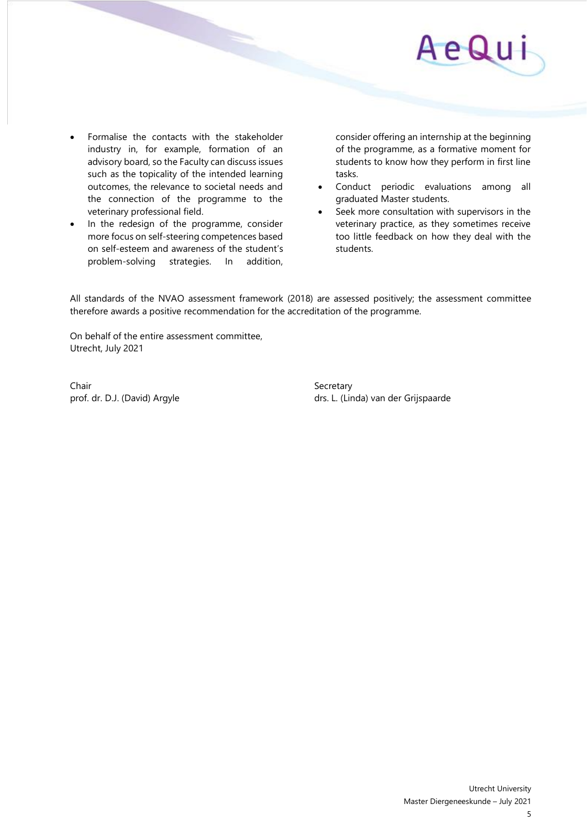

- Formalise the contacts with the stakeholder industry in, for example, formation of an advisory board, so the Faculty can discuss issues such as the topicality of the intended learning outcomes, the relevance to societal needs and the connection of the programme to the veterinary professional field.
- In the redesign of the programme, consider more focus on self-steering competences based on self-esteem and awareness of the student's problem-solving strategies. In addition,

consider offering an internship at the beginning of the programme, as a formative moment for students to know how they perform in first line tasks.

- Conduct periodic evaluations among all graduated Master students.
- Seek more consultation with supervisors in the veterinary practice, as they sometimes receive too little feedback on how they deal with the students.

All standards of the NVAO assessment framework (2018) are assessed positively; the assessment committee therefore awards a positive recommendation for the accreditation of the programme.

On behalf of the entire assessment committee, Utrecht, July 2021

Chair Secretary Secretary

prof. dr. D.J. (David) Argyle drs. L. (Linda) van der Grijspaarde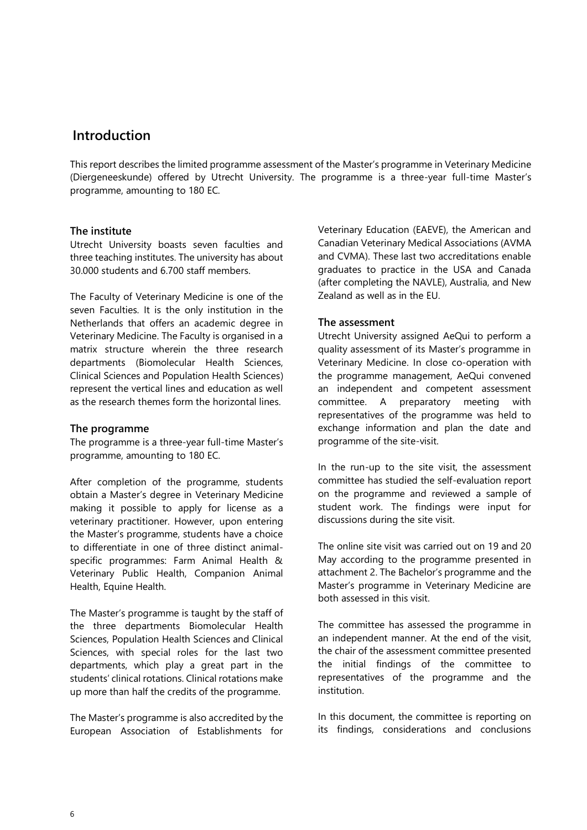# **Introduction**

This report describes the limited programme assessment of the Master's programme in Veterinary Medicine (Diergeneeskunde) offered by Utrecht University. The programme is a three-year full-time Master's programme, amounting to 180 EC.

# **The institute**

Utrecht University boasts seven faculties and three teaching institutes. The university has about 30.000 students and 6.700 staff members.

The Faculty of Veterinary Medicine is one of the seven Faculties. It is the only institution in the Netherlands that offers an academic degree in Veterinary Medicine. The Faculty is organised in a matrix structure wherein the three research departments (Biomolecular Health Sciences, Clinical Sciences and Population Health Sciences) represent the vertical lines and education as well as the research themes form the horizontal lines.

## **The programme**

The programme is a three-year full-time Master's programme, amounting to 180 EC.

After completion of the programme, students obtain a Master's degree in Veterinary Medicine making it possible to apply for license as a veterinary practitioner. However, upon entering the Master's programme, students have a choice to differentiate in one of three distinct animalspecific programmes: Farm Animal Health & Veterinary Public Health, Companion Animal Health, Equine Health.

The Master's programme is taught by the staff of the three departments Biomolecular Health Sciences, Population Health Sciences and Clinical Sciences, with special roles for the last two departments, which play a great part in the students' clinical rotations. Clinical rotations make up more than half the credits of the programme.

The Master's programme is also accredited by the European Association of Establishments for Veterinary Education (EAEVE), the American and Canadian Veterinary Medical Associations (AVMA and CVMA). These last two accreditations enable graduates to practice in the USA and Canada (after completing the NAVLE), Australia, and New Zealand as well as in the EU.

# **The assessment**

Utrecht University assigned AeQui to perform a quality assessment of its Master's programme in Veterinary Medicine. In close co-operation with the programme management, AeQui convened an independent and competent assessment committee. A preparatory meeting with representatives of the programme was held to exchange information and plan the date and programme of the site-visit.

In the run-up to the site visit, the assessment committee has studied the self-evaluation report on the programme and reviewed a sample of student work. The findings were input for discussions during the site visit.

The online site visit was carried out on 19 and 20 May according to the programme presented in attachment 2. The Bachelor's programme and the Master's programme in Veterinary Medicine are both assessed in this visit.

The committee has assessed the programme in an independent manner. At the end of the visit, the chair of the assessment committee presented the initial findings of the committee to representatives of the programme and the institution.

In this document, the committee is reporting on its findings, considerations and conclusions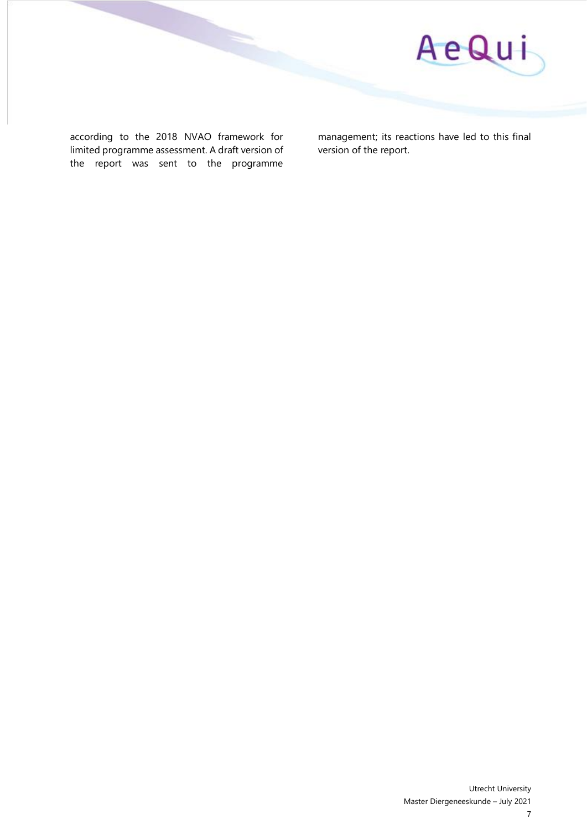

according to the 2018 NVAO framework for limited programme assessment. A draft version of the report was sent to the programme

management; its reactions have led to this final version of the report.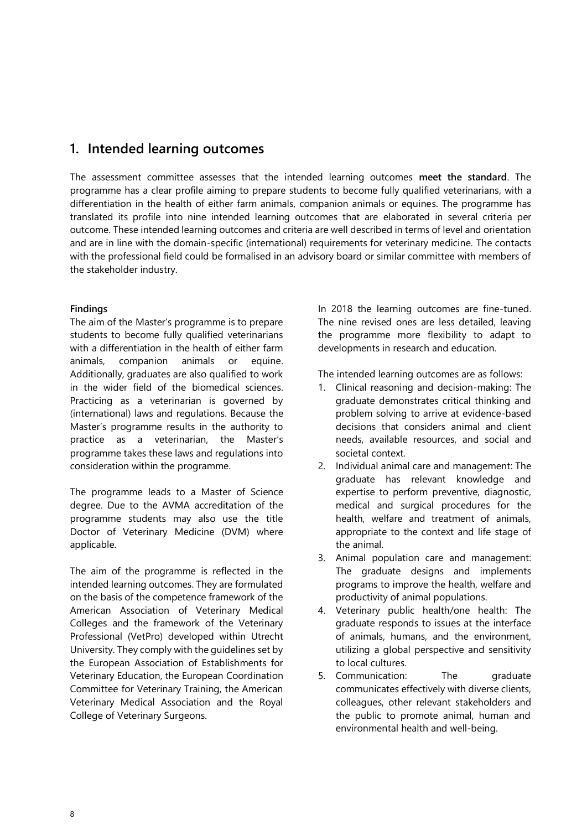# **1. Intended learning outcomes**

The assessment committee assesses that the intended learning outcomes **meet the standard**. The programme has a clear profile aiming to prepare students to become fully qualified veterinarians, with a differentiation in the health of either farm animals, companion animals or equines. The programme has translated its profile into nine intended learning outcomes that are elaborated in several criteria per outcome. These intended learning outcomes and criteria are well described in terms of level and orientation and are in line with the domain-specific (international) requirements for veterinary medicine. The contacts with the professional field could be formalised in an advisory board or similar committee with members of the stakeholder industry.

# **Findings**

The aim of the Master's programme is to prepare students to become fully qualified veterinarians with a differentiation in the health of either farm animals, companion animals or equine. Additionally, graduates are also qualified to work in the wider field of the biomedical sciences. Practicing as a veterinarian is governed by (international) laws and regulations. Because the Master's programme results in the authority to practice as a veterinarian, the Master's programme takes these laws and regulations into consideration within the programme.

The programme leads to a Master of Science degree. Due to the AVMA accreditation of the programme students may also use the title Doctor of Veterinary Medicine (DVM) where applicable.

The aim of the programme is reflected in the intended learning outcomes. They are formulated on the basis of the competence framework of the American Association of Veterinary Medical Colleges and the framework of the Veterinary Professional (VetPro) developed within Utrecht University. They comply with the guidelines set by the European Association of Establishments for Veterinary Education, the European Coordination Committee for Veterinary Training, the American Veterinary Medical Association and the Royal College of Veterinary Surgeons.

In 2018 the learning outcomes are fine-tuned. The nine revised ones are less detailed, leaving the programme more flexibility to adapt to developments in research and education.

The intended learning outcomes are as follows:

- 1. Clinical reasoning and decision-making: The graduate demonstrates critical thinking and problem solving to arrive at evidence-based decisions that considers animal and client needs, available resources, and social and societal context.
- 2. Individual animal care and management: The graduate has relevant knowledge and expertise to perform preventive, diagnostic, medical and surgical procedures for the health, welfare and treatment of animals, appropriate to the context and life stage of the animal.
- 3. Animal population care and management: The graduate designs and implements programs to improve the health, welfare and productivity of animal populations.
- 4. Veterinary public health/one health: The graduate responds to issues at the interface of animals, humans, and the environment, utilizing a global perspective and sensitivity to local cultures.
- 5. Communication: The graduate communicates effectively with diverse clients, colleagues, other relevant stakeholders and the public to promote animal, human and environmental health and well-being.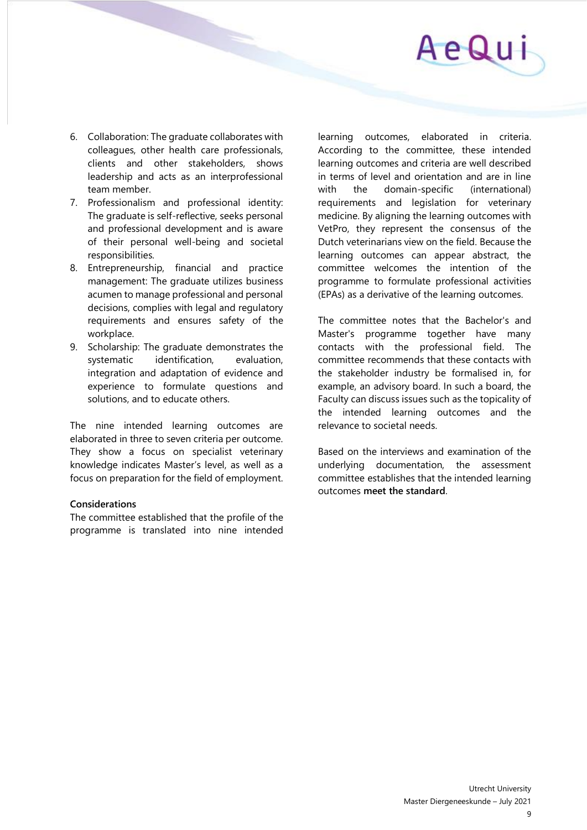

- 6. Collaboration: The graduate collaborates with colleagues, other health care professionals, clients and other stakeholders, shows leadership and acts as an interprofessional team member.
- 7. Professionalism and professional identity: The graduate is self-reflective, seeks personal and professional development and is aware of their personal well-being and societal responsibilities.
- 8. Entrepreneurship, financial and practice management: The graduate utilizes business acumen to manage professional and personal decisions, complies with legal and regulatory requirements and ensures safety of the workplace.
- 9. Scholarship: The graduate demonstrates the systematic identification, evaluation, integration and adaptation of evidence and experience to formulate questions and solutions, and to educate others.

The nine intended learning outcomes are elaborated in three to seven criteria per outcome. They show a focus on specialist veterinary knowledge indicates Master's level, as well as a focus on preparation for the field of employment.

#### **Considerations**

The committee established that the profile of the programme is translated into nine intended

learning outcomes, elaborated in criteria. According to the committee, these intended learning outcomes and criteria are well described in terms of level and orientation and are in line with the domain-specific (international) requirements and legislation for veterinary medicine. By aligning the learning outcomes with VetPro, they represent the consensus of the Dutch veterinarians view on the field. Because the learning outcomes can appear abstract, the committee welcomes the intention of the programme to formulate professional activities (EPAs) as a derivative of the learning outcomes.

The committee notes that the Bachelor's and Master's programme together have many contacts with the professional field. The committee recommends that these contacts with the stakeholder industry be formalised in, for example, an advisory board. In such a board, the Faculty can discuss issues such as the topicality of the intended learning outcomes and the relevance to societal needs.

Based on the interviews and examination of the underlying documentation, the assessment committee establishes that the intended learning outcomes **meet the standard**.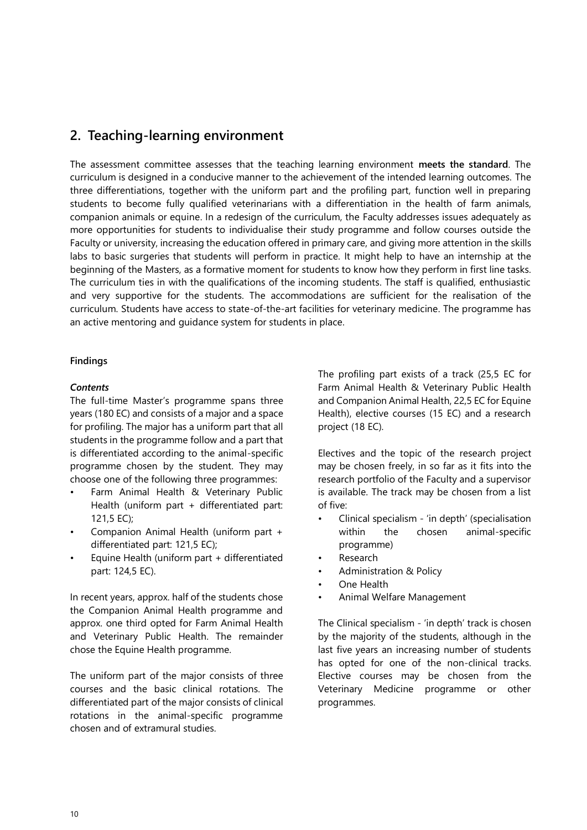# **2. Teaching-learning environment**

The assessment committee assesses that the teaching learning environment **meets the standard**. The curriculum is designed in a conducive manner to the achievement of the intended learning outcomes. The three differentiations, together with the uniform part and the profiling part, function well in preparing students to become fully qualified veterinarians with a differentiation in the health of farm animals, companion animals or equine. In a redesign of the curriculum, the Faculty addresses issues adequately as more opportunities for students to individualise their study programme and follow courses outside the Faculty or university, increasing the education offered in primary care, and giving more attention in the skills labs to basic surgeries that students will perform in practice. It might help to have an internship at the beginning of the Masters, as a formative moment for students to know how they perform in first line tasks. The curriculum ties in with the qualifications of the incoming students. The staff is qualified, enthusiastic and very supportive for the students. The accommodations are sufficient for the realisation of the curriculum. Students have access to state-of-the-art facilities for veterinary medicine. The programme has an active mentoring and guidance system for students in place.

## **Findings**

# *Contents*

The full-time Master's programme spans three years (180 EC) and consists of a major and a space for profiling. The major has a uniform part that all students in the programme follow and a part that is differentiated according to the animal-specific programme chosen by the student. They may choose one of the following three programmes:

- Farm Animal Health & Veterinary Public Health (uniform part + differentiated part: 121,5 EC);
- Companion Animal Health (uniform part + differentiated part: 121,5 EC);
- Equine Health (uniform part + differentiated part: 124,5 EC).

In recent years, approx. half of the students chose the Companion Animal Health programme and approx. one third opted for Farm Animal Health and Veterinary Public Health. The remainder chose the Equine Health programme.

The uniform part of the major consists of three courses and the basic clinical rotations. The differentiated part of the major consists of clinical rotations in the animal-specific programme chosen and of extramural studies.

The profiling part exists of a track (25,5 EC for Farm Animal Health & Veterinary Public Health and Companion Animal Health, 22,5 EC for Equine Health), elective courses (15 EC) and a research project (18 EC).

Electives and the topic of the research project may be chosen freely, in so far as it fits into the research portfolio of the Faculty and a supervisor is available. The track may be chosen from a list of five:

- Clinical specialism 'in depth' (specialisation within the chosen animal-specific programme)
- **Research**
- Administration & Policy
- One Health
- Animal Welfare Management

The Clinical specialism - 'in depth' track is chosen by the majority of the students, although in the last five years an increasing number of students has opted for one of the non-clinical tracks. Elective courses may be chosen from the Veterinary Medicine programme or other programmes.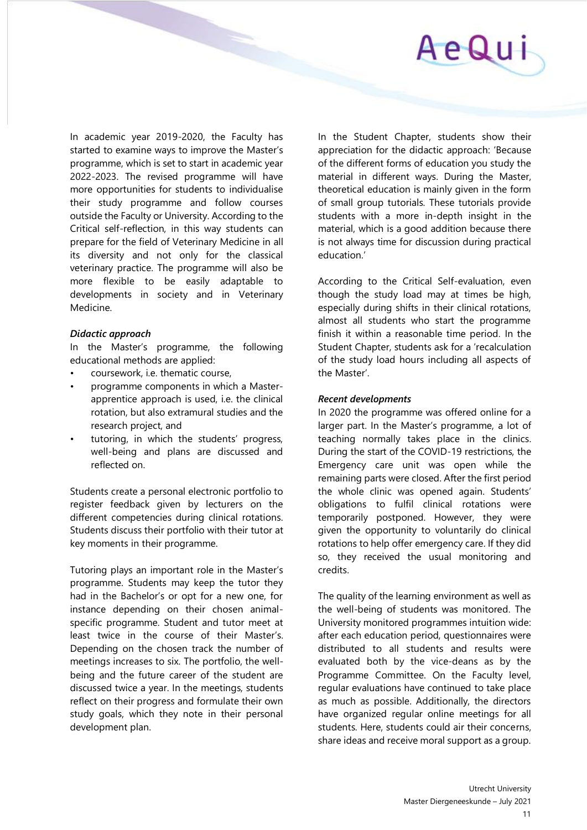

In academic year 2019-2020, the Faculty has started to examine ways to improve the Master's programme, which is set to start in academic year 2022-2023. The revised programme will have more opportunities for students to individualise their study programme and follow courses outside the Faculty or University. According to the Critical self-reflection, in this way students can prepare for the field of Veterinary Medicine in all its diversity and not only for the classical veterinary practice. The programme will also be more flexible to be easily adaptable to developments in society and in Veterinary Medicine.

#### *Didactic approach*

In the Master's programme, the following educational methods are applied:

- coursework, i.e. thematic course,
- programme components in which a Masterapprentice approach is used, i.e. the clinical rotation, but also extramural studies and the research project, and
- tutoring, in which the students' progress, well-being and plans are discussed and reflected on.

Students create a personal electronic portfolio to register feedback given by lecturers on the different competencies during clinical rotations. Students discuss their portfolio with their tutor at key moments in their programme.

Tutoring plays an important role in the Master's programme. Students may keep the tutor they had in the Bachelor's or opt for a new one, for instance depending on their chosen animalspecific programme. Student and tutor meet at least twice in the course of their Master's. Depending on the chosen track the number of meetings increases to six. The portfolio, the wellbeing and the future career of the student are discussed twice a year. In the meetings, students reflect on their progress and formulate their own study goals, which they note in their personal development plan.

In the Student Chapter, students show their appreciation for the didactic approach: 'Because of the different forms of education you study the material in different ways. During the Master, theoretical education is mainly given in the form of small group tutorials. These tutorials provide students with a more in-depth insight in the material, which is a good addition because there is not always time for discussion during practical education.'

According to the Critical Self-evaluation, even though the study load may at times be high, especially during shifts in their clinical rotations, almost all students who start the programme finish it within a reasonable time period. In the Student Chapter, students ask for a 'recalculation of the study load hours including all aspects of the Master'.

#### *Recent developments*

In 2020 the programme was offered online for a larger part. In the Master's programme, a lot of teaching normally takes place in the clinics. During the start of the COVID-19 restrictions, the Emergency care unit was open while the remaining parts were closed. After the first period the whole clinic was opened again. Students' obligations to fulfil clinical rotations were temporarily postponed. However, they were given the opportunity to voluntarily do clinical rotations to help offer emergency care. If they did so, they received the usual monitoring and credits.

The quality of the learning environment as well as the well-being of students was monitored. The University monitored programmes intuition wide: after each education period, questionnaires were distributed to all students and results were evaluated both by the vice-deans as by the Programme Committee. On the Faculty level, regular evaluations have continued to take place as much as possible. Additionally, the directors have organized regular online meetings for all students. Here, students could air their concerns, share ideas and receive moral support as a group.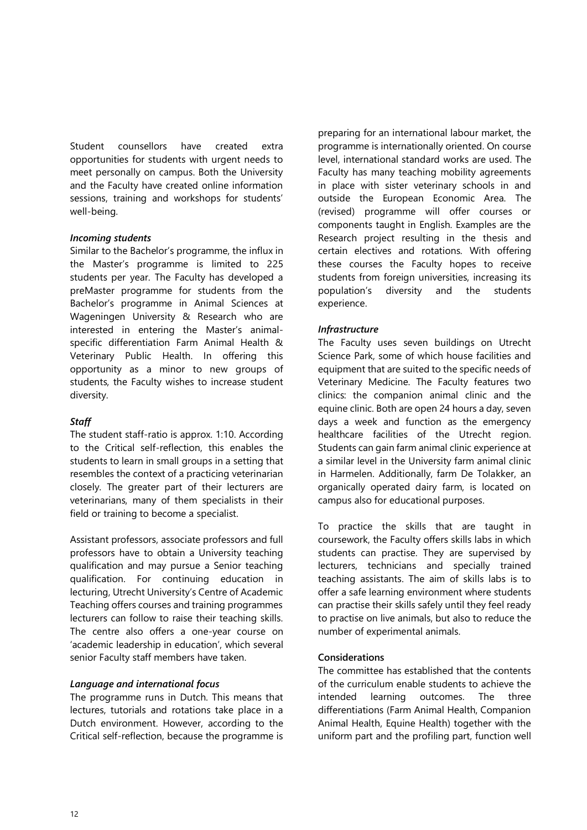Student counsellors have created extra opportunities for students with urgent needs to meet personally on campus. Both the University and the Faculty have created online information sessions, training and workshops for students' well-being.

# *Incoming students*

Similar to the Bachelor's programme, the influx in the Master's programme is limited to 225 students per year. The Faculty has developed a preMaster programme for students from the Bachelor's programme in Animal Sciences at Wageningen University & Research who are interested in entering the Master's animalspecific differentiation Farm Animal Health & Veterinary Public Health. In offering this opportunity as a minor to new groups of students, the Faculty wishes to increase student diversity.

# *Staff*

The student staff-ratio is approx. 1:10. According to the Critical self-reflection, this enables the students to learn in small groups in a setting that resembles the context of a practicing veterinarian closely. The greater part of their lecturers are veterinarians, many of them specialists in their field or training to become a specialist.

Assistant professors, associate professors and full professors have to obtain a University teaching qualification and may pursue a Senior teaching qualification. For continuing education in lecturing, Utrecht University's Centre of Academic Teaching offers courses and training programmes lecturers can follow to raise their teaching skills. The centre also offers a one-year course on 'academic leadership in education', which several senior Faculty staff members have taken.

# *Language and international focus*

The programme runs in Dutch. This means that lectures, tutorials and rotations take place in a Dutch environment. However, according to the Critical self-reflection, because the programme is

preparing for an international labour market, the programme is internationally oriented. On course level, international standard works are used. The Faculty has many teaching mobility agreements in place with sister veterinary schools in and outside the European Economic Area. The (revised) programme will offer courses or components taught in English. Examples are the Research project resulting in the thesis and certain electives and rotations. With offering these courses the Faculty hopes to receive students from foreign universities, increasing its population's diversity and the students experience.

# *Infrastructure*

The Faculty uses seven buildings on Utrecht Science Park, some of which house facilities and equipment that are suited to the specific needs of Veterinary Medicine. The Faculty features two clinics: the companion animal clinic and the equine clinic. Both are open 24 hours a day, seven days a week and function as the emergency healthcare facilities of the Utrecht region. Students can gain farm animal clinic experience at a similar level in the University farm animal clinic in Harmelen. Additionally, farm De Tolakker, an organically operated dairy farm, is located on campus also for educational purposes.

To practice the skills that are taught in coursework, the Faculty offers skills labs in which students can practise. They are supervised by lecturers, technicians and specially trained teaching assistants. The aim of skills labs is to offer a safe learning environment where students can practise their skills safely until they feel ready to practise on live animals, but also to reduce the number of experimental animals.

# **Considerations**

The committee has established that the contents of the curriculum enable students to achieve the intended learning outcomes. The three differentiations (Farm Animal Health, Companion Animal Health, Equine Health) together with the uniform part and the profiling part, function well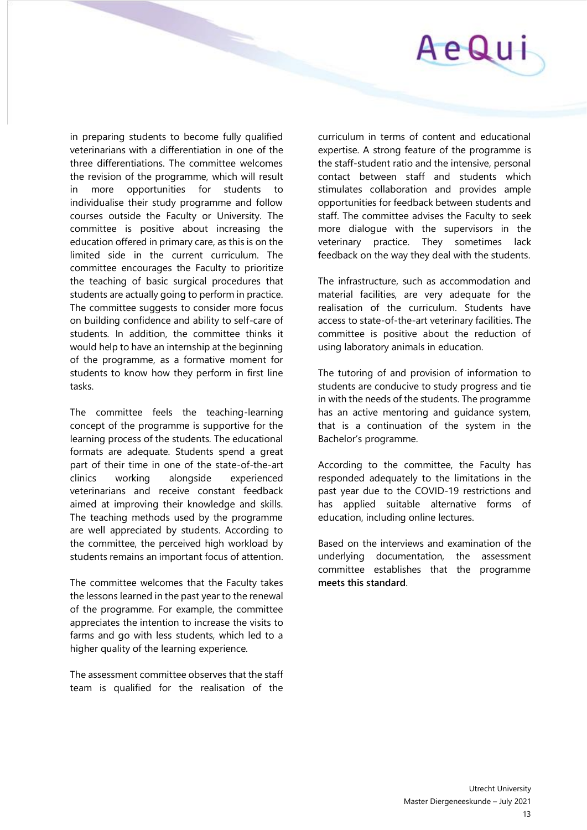

in preparing students to become fully qualified veterinarians with a differentiation in one of the three differentiations. The committee welcomes the revision of the programme, which will result in more opportunities for students to individualise their study programme and follow courses outside the Faculty or University. The committee is positive about increasing the education offered in primary care, as this is on the limited side in the current curriculum. The committee encourages the Faculty to prioritize the teaching of basic surgical procedures that students are actually going to perform in practice. The committee suggests to consider more focus on building confidence and ability to self-care of students. In addition, the committee thinks it would help to have an internship at the beginning of the programme, as a formative moment for students to know how they perform in first line tasks.

The committee feels the teaching-learning concept of the programme is supportive for the learning process of the students. The educational formats are adequate. Students spend a great part of their time in one of the state-of-the-art clinics working alongside experienced veterinarians and receive constant feedback aimed at improving their knowledge and skills. The teaching methods used by the programme are well appreciated by students. According to the committee, the perceived high workload by students remains an important focus of attention.

The committee welcomes that the Faculty takes the lessons learned in the past year to the renewal of the programme. For example, the committee appreciates the intention to increase the visits to farms and go with less students, which led to a higher quality of the learning experience.

The assessment committee observes that the staff team is qualified for the realisation of the

curriculum in terms of content and educational expertise. A strong feature of the programme is the staff-student ratio and the intensive, personal contact between staff and students which stimulates collaboration and provides ample opportunities for feedback between students and staff. The committee advises the Faculty to seek more dialogue with the supervisors in the veterinary practice. They sometimes lack feedback on the way they deal with the students.

The infrastructure, such as accommodation and material facilities, are very adequate for the realisation of the curriculum. Students have access to state-of-the-art veterinary facilities. The committee is positive about the reduction of using laboratory animals in education.

The tutoring of and provision of information to students are conducive to study progress and tie in with the needs of the students. The programme has an active mentoring and guidance system, that is a continuation of the system in the Bachelor's programme.

According to the committee, the Faculty has responded adequately to the limitations in the past year due to the COVID-19 restrictions and has applied suitable alternative forms of education, including online lectures.

Based on the interviews and examination of the underlying documentation, the assessment committee establishes that the programme **meets this standard**.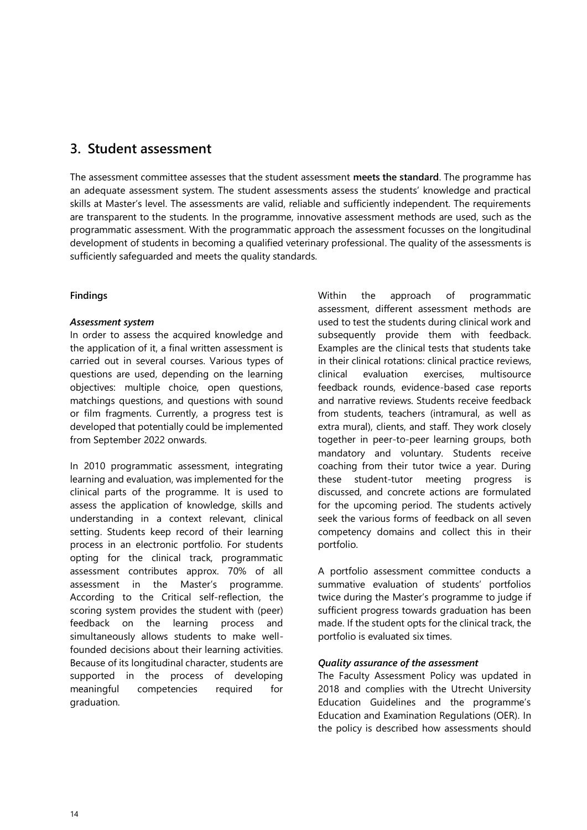# **3. Student assessment**

The assessment committee assesses that the student assessment **meets the standard**. The programme has an adequate assessment system. The student assessments assess the students' knowledge and practical skills at Master's level. The assessments are valid, reliable and sufficiently independent. The requirements are transparent to the students. In the programme, innovative assessment methods are used, such as the programmatic assessment. With the programmatic approach the assessment focusses on the longitudinal development of students in becoming a qualified veterinary professional. The quality of the assessments is sufficiently safeguarded and meets the quality standards.

# **Findings**

# *Assessment system*

In order to assess the acquired knowledge and the application of it, a final written assessment is carried out in several courses. Various types of questions are used, depending on the learning objectives: multiple choice, open questions, matchings questions, and questions with sound or film fragments. Currently, a progress test is developed that potentially could be implemented from September 2022 onwards.

In 2010 programmatic assessment, integrating learning and evaluation, was implemented for the clinical parts of the programme. It is used to assess the application of knowledge, skills and understanding in a context relevant, clinical setting. Students keep record of their learning process in an electronic portfolio. For students opting for the clinical track, programmatic assessment contributes approx. 70% of all assessment in the Master's programme. According to the Critical self-reflection, the scoring system provides the student with (peer) feedback on the learning process and simultaneously allows students to make wellfounded decisions about their learning activities. Because of its longitudinal character, students are supported in the process of developing meaningful competencies required for graduation.

Within the approach of programmatic assessment, different assessment methods are used to test the students during clinical work and subsequently provide them with feedback. Examples are the clinical tests that students take in their clinical rotations: clinical practice reviews, clinical evaluation exercises, multisource feedback rounds, evidence-based case reports and narrative reviews. Students receive feedback from students, teachers (intramural, as well as extra mural), clients, and staff. They work closely together in peer-to-peer learning groups, both mandatory and voluntary. Students receive coaching from their tutor twice a year. During these student-tutor meeting progress is discussed, and concrete actions are formulated for the upcoming period. The students actively seek the various forms of feedback on all seven competency domains and collect this in their portfolio.

A portfolio assessment committee conducts a summative evaluation of students' portfolios twice during the Master's programme to judge if sufficient progress towards graduation has been made. If the student opts for the clinical track, the portfolio is evaluated six times.

## *Quality assurance of the assessment*

The Faculty Assessment Policy was updated in 2018 and complies with the Utrecht University Education Guidelines and the programme's Education and Examination Regulations (OER). In the policy is described how assessments should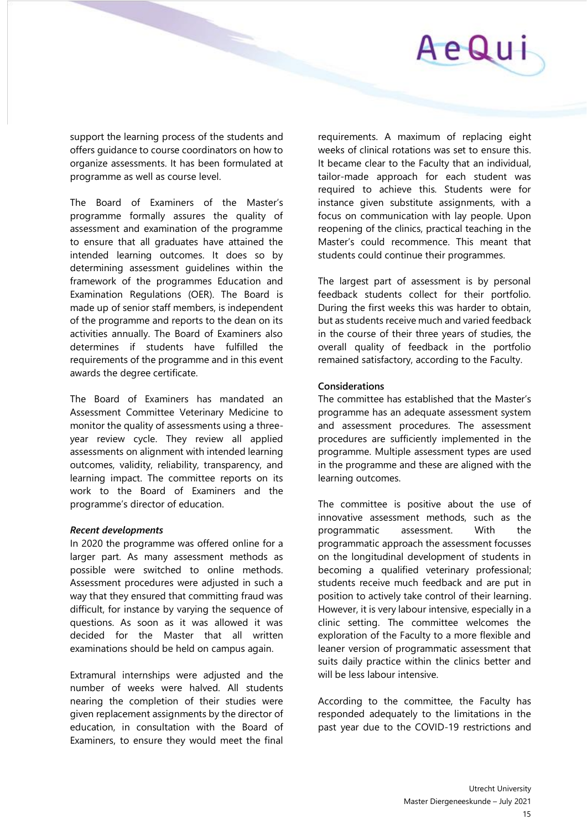

support the learning process of the students and offers guidance to course coordinators on how to organize assessments. It has been formulated at programme as well as course level.

The Board of Examiners of the Master's programme formally assures the quality of assessment and examination of the programme to ensure that all graduates have attained the intended learning outcomes. It does so by determining assessment guidelines within the framework of the programmes Education and Examination Regulations (OER). The Board is made up of senior staff members, is independent of the programme and reports to the dean on its activities annually. The Board of Examiners also determines if students have fulfilled the requirements of the programme and in this event awards the degree certificate.

The Board of Examiners has mandated an Assessment Committee Veterinary Medicine to monitor the quality of assessments using a threeyear review cycle. They review all applied assessments on alignment with intended learning outcomes, validity, reliability, transparency, and learning impact. The committee reports on its work to the Board of Examiners and the programme's director of education.

#### *Recent developments*

In 2020 the programme was offered online for a larger part. As many assessment methods as possible were switched to online methods. Assessment procedures were adjusted in such a way that they ensured that committing fraud was difficult, for instance by varying the sequence of questions. As soon as it was allowed it was decided for the Master that all written examinations should be held on campus again.

Extramural internships were adjusted and the number of weeks were halved. All students nearing the completion of their studies were given replacement assignments by the director of education, in consultation with the Board of Examiners, to ensure they would meet the final

requirements. A maximum of replacing eight weeks of clinical rotations was set to ensure this. It became clear to the Faculty that an individual, tailor-made approach for each student was required to achieve this. Students were for instance given substitute assignments, with a focus on communication with lay people. Upon reopening of the clinics, practical teaching in the Master's could recommence. This meant that students could continue their programmes.

The largest part of assessment is by personal feedback students collect for their portfolio. During the first weeks this was harder to obtain, but as students receive much and varied feedback in the course of their three years of studies, the overall quality of feedback in the portfolio remained satisfactory, according to the Faculty.

#### **Considerations**

The committee has established that the Master's programme has an adequate assessment system and assessment procedures. The assessment procedures are sufficiently implemented in the programme. Multiple assessment types are used in the programme and these are aligned with the learning outcomes.

The committee is positive about the use of innovative assessment methods, such as the programmatic assessment. With the programmatic approach the assessment focusses on the longitudinal development of students in becoming a qualified veterinary professional; students receive much feedback and are put in position to actively take control of their learning. However, it is very labour intensive, especially in a clinic setting. The committee welcomes the exploration of the Faculty to a more flexible and leaner version of programmatic assessment that suits daily practice within the clinics better and will be less labour intensive.

According to the committee, the Faculty has responded adequately to the limitations in the past year due to the COVID-19 restrictions and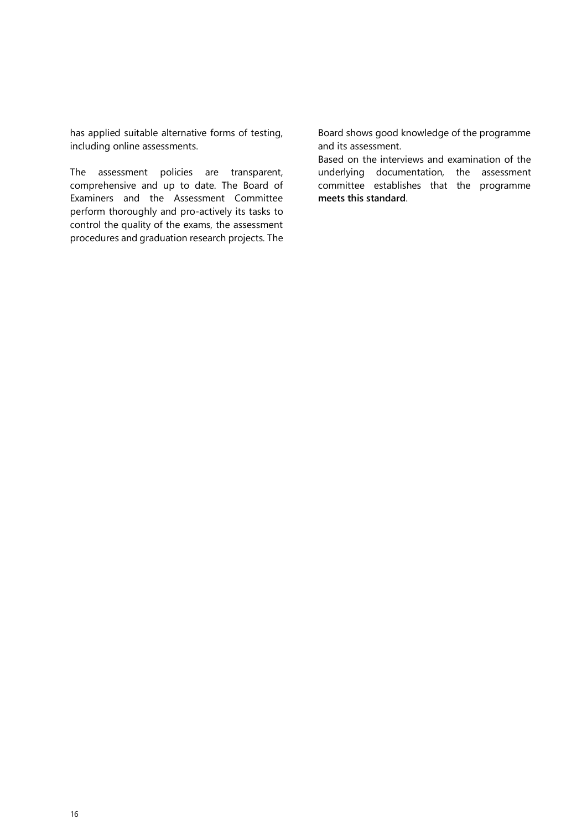has applied suitable alternative forms of testing, including online assessments.

The assessment policies are transparent, comprehensive and up to date. The Board of Examiners and the Assessment Committee perform thoroughly and pro-actively its tasks to control the quality of the exams, the assessment procedures and graduation research projects. The Board shows good knowledge of the programme and its assessment.

Based on the interviews and examination of the underlying documentation, the assessment committee establishes that the programme **meets this standard**.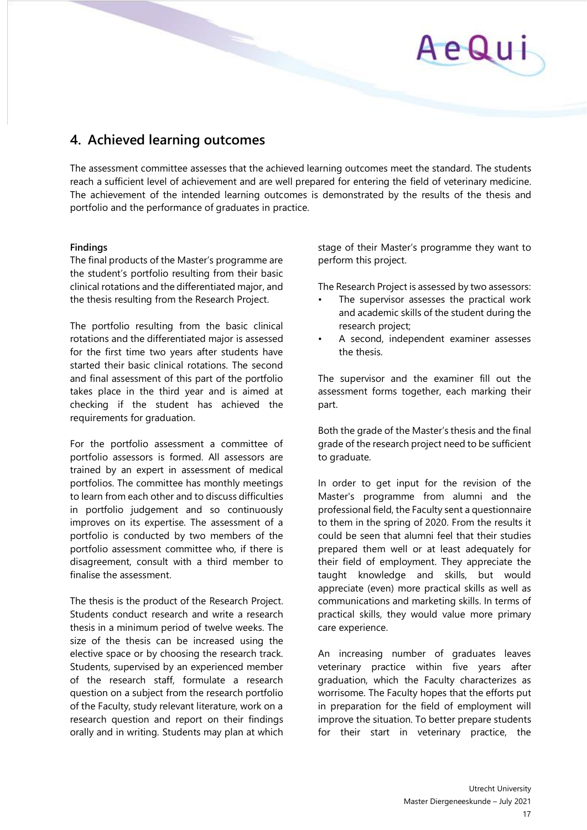# AeQui

# **4. Achieved learning outcomes**

The assessment committee assesses that the achieved learning outcomes meet the standard. The students reach a sufficient level of achievement and are well prepared for entering the field of veterinary medicine. The achievement of the intended learning outcomes is demonstrated by the results of the thesis and portfolio and the performance of graduates in practice.

## **Findings**

The final products of the Master's programme are the student's portfolio resulting from their basic clinical rotations and the differentiated major, and the thesis resulting from the Research Project.

The portfolio resulting from the basic clinical rotations and the differentiated major is assessed for the first time two years after students have started their basic clinical rotations. The second and final assessment of this part of the portfolio takes place in the third year and is aimed at checking if the student has achieved the requirements for graduation.

For the portfolio assessment a committee of portfolio assessors is formed. All assessors are trained by an expert in assessment of medical portfolios. The committee has monthly meetings to learn from each other and to discuss difficulties in portfolio judgement and so continuously improves on its expertise. The assessment of a portfolio is conducted by two members of the portfolio assessment committee who, if there is disagreement, consult with a third member to finalise the assessment.

The thesis is the product of the Research Project. Students conduct research and write a research thesis in a minimum period of twelve weeks. The size of the thesis can be increased using the elective space or by choosing the research track. Students, supervised by an experienced member of the research staff, formulate a research question on a subject from the research portfolio of the Faculty, study relevant literature, work on a research question and report on their findings orally and in writing. Students may plan at which

stage of their Master's programme they want to perform this project.

The Research Project is assessed by two assessors:

- The supervisor assesses the practical work and academic skills of the student during the research project;
- A second, independent examiner assesses the thesis.

The supervisor and the examiner fill out the assessment forms together, each marking their part.

Both the grade of the Master's thesis and the final grade of the research project need to be sufficient to graduate.

In order to get input for the revision of the Master's programme from alumni and the professional field, the Faculty sent a questionnaire to them in the spring of 2020. From the results it could be seen that alumni feel that their studies prepared them well or at least adequately for their field of employment. They appreciate the taught knowledge and skills, but would appreciate (even) more practical skills as well as communications and marketing skills. In terms of practical skills, they would value more primary care experience.

An increasing number of graduates leaves veterinary practice within five years after graduation, which the Faculty characterizes as worrisome. The Faculty hopes that the efforts put in preparation for the field of employment will improve the situation. To better prepare students for their start in veterinary practice, the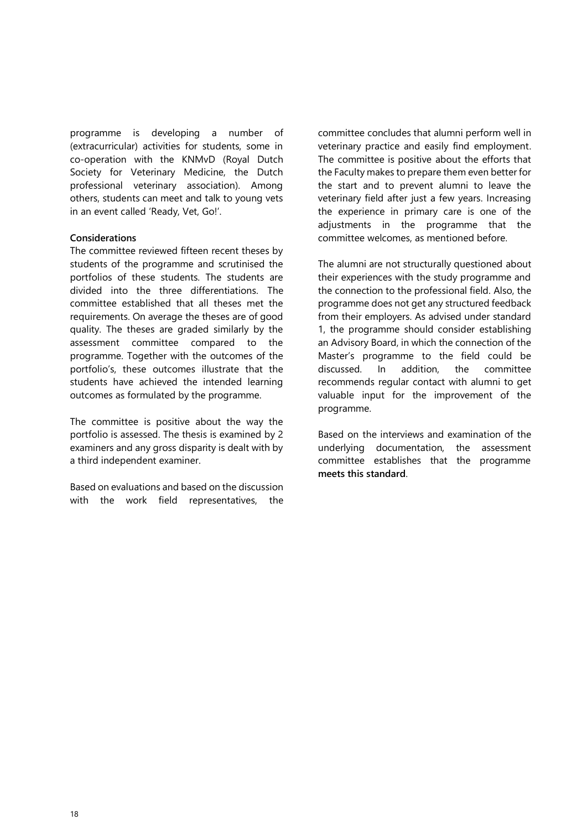programme is developing a number of (extracurricular) activities for students, some in co-operation with the KNMvD (Royal Dutch Society for Veterinary Medicine, the Dutch professional veterinary association). Among others, students can meet and talk to young vets in an event called 'Ready, Vet, Go!'.

#### **Considerations**

The committee reviewed fifteen recent theses by students of the programme and scrutinised the portfolios of these students. The students are divided into the three differentiations. The committee established that all theses met the requirements. On average the theses are of good quality. The theses are graded similarly by the assessment committee compared to the programme. Together with the outcomes of the portfolio's, these outcomes illustrate that the students have achieved the intended learning outcomes as formulated by the programme.

The committee is positive about the way the portfolio is assessed. The thesis is examined by 2 examiners and any gross disparity is dealt with by a third independent examiner.

Based on evaluations and based on the discussion with the work field representatives, the

committee concludes that alumni perform well in veterinary practice and easily find employment. The committee is positive about the efforts that the Faculty makes to prepare them even better for the start and to prevent alumni to leave the veterinary field after just a few years. Increasing the experience in primary care is one of the adjustments in the programme that the committee welcomes, as mentioned before.

The alumni are not structurally questioned about their experiences with the study programme and the connection to the professional field. Also, the programme does not get any structured feedback from their employers. As advised under standard 1, the programme should consider establishing an Advisory Board, in which the connection of the Master's programme to the field could be discussed. In addition, the committee recommends regular contact with alumni to get valuable input for the improvement of the programme.

Based on the interviews and examination of the underlying documentation, the assessment committee establishes that the programme **meets this standard**.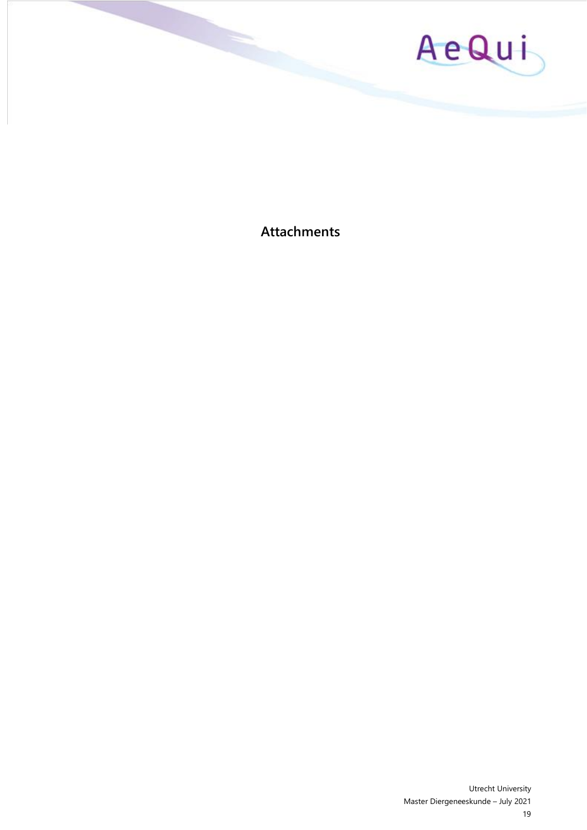

**Attachments**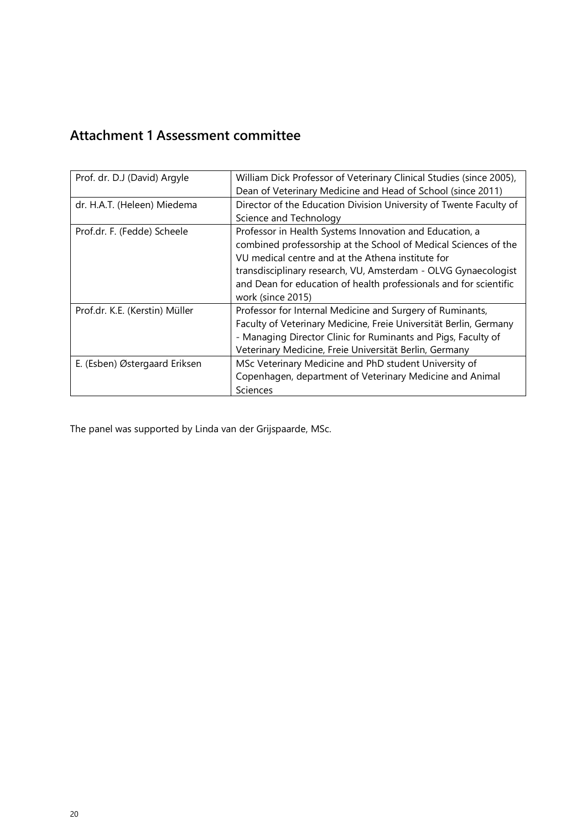# **Attachment 1 Assessment committee**

| Prof. dr. D.J (David) Argyle   | William Dick Professor of Veterinary Clinical Studies (since 2005),<br>Dean of Veterinary Medicine and Head of School (since 2011)                                                                                                                                                                                                          |
|--------------------------------|---------------------------------------------------------------------------------------------------------------------------------------------------------------------------------------------------------------------------------------------------------------------------------------------------------------------------------------------|
| dr. H.A.T. (Heleen) Miedema    | Director of the Education Division University of Twente Faculty of<br>Science and Technology                                                                                                                                                                                                                                                |
| Prof.dr. F. (Fedde) Scheele    | Professor in Health Systems Innovation and Education, a<br>combined professorship at the School of Medical Sciences of the<br>VU medical centre and at the Athena institute for<br>transdisciplinary research, VU, Amsterdam - OLVG Gynaecologist<br>and Dean for education of health professionals and for scientific<br>work (since 2015) |
| Prof.dr. K.E. (Kerstin) Müller | Professor for Internal Medicine and Surgery of Ruminants,<br>Faculty of Veterinary Medicine, Freie Universität Berlin, Germany<br>- Managing Director Clinic for Ruminants and Pigs, Faculty of<br>Veterinary Medicine, Freie Universität Berlin, Germany                                                                                   |
| E. (Esben) Østergaard Eriksen  | MSc Veterinary Medicine and PhD student University of<br>Copenhagen, department of Veterinary Medicine and Animal<br>Sciences                                                                                                                                                                                                               |

The panel was supported by Linda van der Grijspaarde, MSc.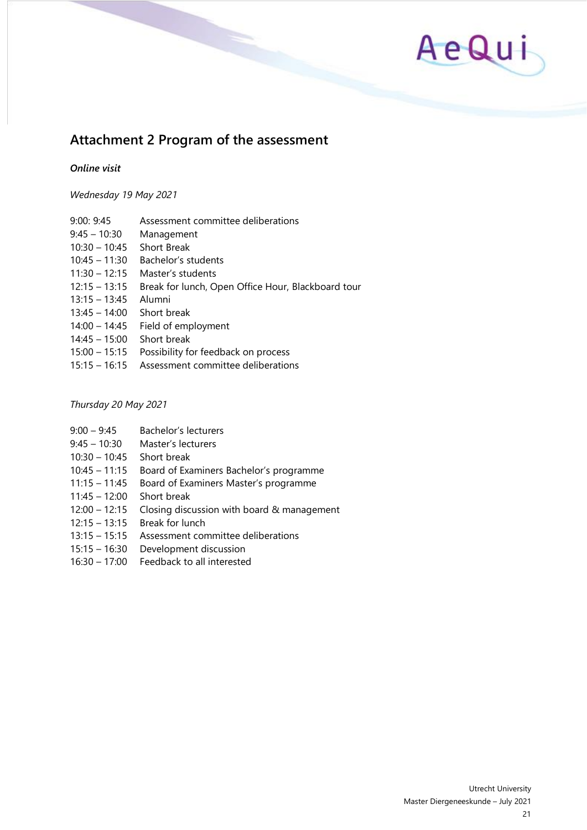

# **Attachment 2 Program of the assessment**

#### *Online visit*

*Wednesday 19 May 2021*

- 9:00: 9:45 Assessment committee deliberations
- 9:45 10:30 Management
- 10:30 10:45 Short Break
- 10:45 11:30 Bachelor's students
- 11:30 12:15 Master's students
- 12:15 13:15 Break for lunch, Open Office Hour, Blackboard tour
- 13:15 13:45 Alumni
- 13:45 14:00 Short break
- 14:00 14:45 Field of employment
- 14:45 15:00 Short break
- 15:00 15:15 Possibility for feedback on process
- 15:15 16:15 Assessment committee deliberations

# *Thursday 20 May 2021*

- 9:00 9:45 Bachelor's lecturers
- 9:45 10:30 Master's lecturers
- 10:30 10:45 Short break
- 10:45 11:15 Board of Examiners Bachelor's programme
- 11:15 11:45 Board of Examiners Master's programme
- 11:45 12:00 Short break
- 12:00 12:15 Closing discussion with board & management
- 12:15 13:15 Break for lunch
- 13:15 15:15 Assessment committee deliberations
- 15:15 16:30 Development discussion
- 16:30 17:00 Feedback to all interested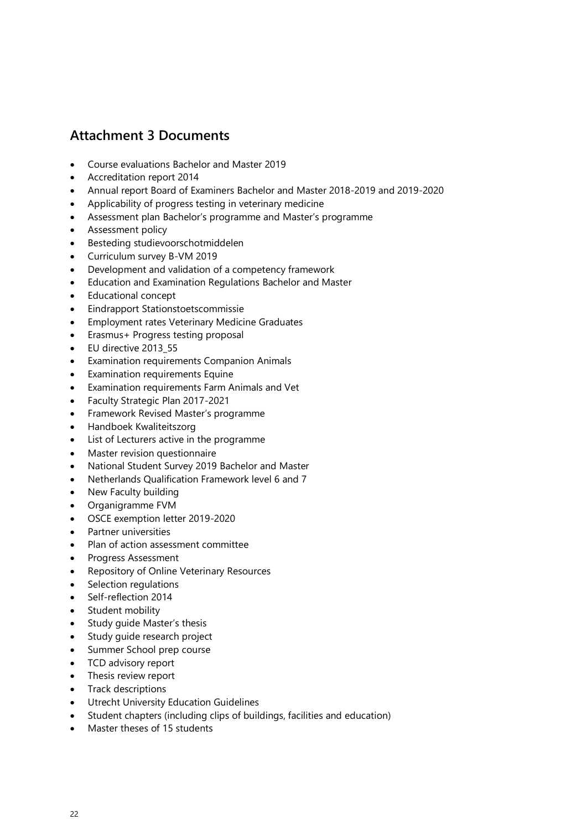# **Attachment 3 Documents**

- Course evaluations Bachelor and Master 2019
- Accreditation report 2014
- Annual report Board of Examiners Bachelor and Master 2018-2019 and 2019-2020
- Applicability of progress testing in veterinary medicine
- Assessment plan Bachelor's programme and Master's programme
- Assessment policy
- Besteding studievoorschotmiddelen
- Curriculum survey B-VM 2019
- Development and validation of a competency framework
- Education and Examination Regulations Bachelor and Master
- Educational concept
- Eindrapport Stationstoetscommissie
- Employment rates Veterinary Medicine Graduates
- Erasmus+ Progress testing proposal
- EU directive 2013\_55
- Examination requirements Companion Animals
- Examination requirements Equine
- Examination requirements Farm Animals and Vet
- Faculty Strategic Plan 2017-2021
- Framework Revised Master's programme
- Handboek Kwaliteitszorg
- List of Lecturers active in the programme
- Master revision questionnaire
- National Student Survey 2019 Bachelor and Master
- Netherlands Qualification Framework level 6 and 7
- New Faculty building
- Organigramme FVM
- OSCE exemption letter 2019-2020
- Partner universities
- Plan of action assessment committee
- Progress Assessment
- Repository of Online Veterinary Resources
- Selection regulations
- Self-reflection 2014
- Student mobility
- Study guide Master's thesis
- Study quide research project
- Summer School prep course
- TCD advisory report
- Thesis review report
- Track descriptions
- Utrecht University Education Guidelines
- Student chapters (including clips of buildings, facilities and education)
- Master theses of 15 students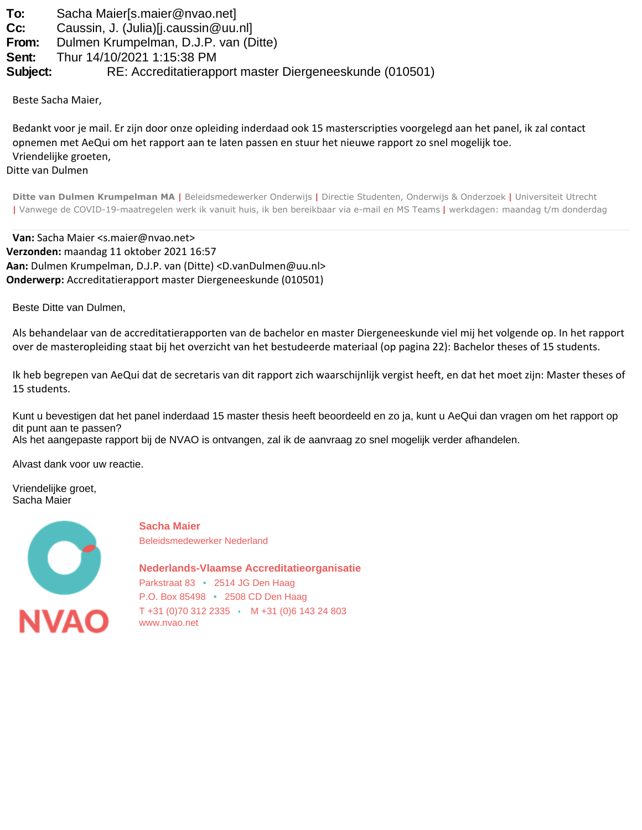**To:** Sacha Maier[s.maier@nvao.net]

**Cc:** Caussin, J. (Julia)[j.caussin@uu.nl]

**From:** Dulmen Krumpelman, D.J.P. van (Ditte)

**Sent:** Thur 14/10/2021 1:15:38 PM

**Subject:** RE: Accreditatierapport master Diergeneeskunde (010501)

Beste Sacha Maier,

Bedankt voor je mail. Er zijn door onze opleiding inderdaad ook 15 masterscripties voorgelegd aan het panel, ik zal contact opnemen met AeQui om het rapport aan te laten passen en stuur het nieuwe rapport zo snel mogelijk toe. Vriendelijke groeten,

Ditte van Dulmen

**Ditte van Dulmen Krumpelman MA** | Beleidsmedewerker Onderwijs | Directie Studenten, Onderwijs & Onderzoek | Universiteit Utrecht | Vanwege de COVID-19-maatregelen werk ik vanuit huis, ik ben bereikbaar via e-mail en MS Teams | werkdagen: maandag t/m donderdag

**Van:** Sacha Maier <s.maier@nvao.net> **Verzonden:** maandag 11 oktober 2021 16:57 **Aan:** Dulmen Krumpelman, D.J.P. van (Ditte) <D.vanDulmen@uu.nl> **Onderwerp:** Accreditatierapport master Diergeneeskunde (010501)

Beste Ditte van Dulmen,

Als behandelaar van de accreditatierapporten van de bachelor en master Diergeneeskunde viel mij het volgende op. In het rapport over de masteropleiding staat bij het overzicht van het bestudeerde materiaal (op pagina 22): Bachelor theses of 15 students.

Ik heb begrepen van AeQui dat de secretaris van dit rapport zich waarschijnlijk vergist heeft, en dat het moet zijn: Master theses of 15 students.

Kunt u bevestigen dat het panel inderdaad 15 master thesis heeft beoordeeld en zo ja, kunt u AeQui dan vragen om het rapport op dit punt aan te passen?

Als het aangepaste rapport bij de NVAO is ontvangen, zal ik de aanvraag zo snel mogelijk verder afhandelen.

Alvast dank voor uw reactie.

Vriendelijke groet, Sacha Maier



**Sacha Maier** Beleidsmedewerker Nederland

**Nederlands-Vlaamse Accreditatieorganisatie** Parkstraat 83 • 2514 JG Den Haag P.O. Box 85498 • 2508 CD Den Haag T +31 (0)70 312 2335 • M +31 (0)6 143 24 803 [www.nvao.net](https://eur04.safelinks.protection.outlook.com/?url=http%3A%2F%2Fwww.nvao.net%2F&data=04%7C01%7Cs.maier%40nvao.net%7Cf08bcf08cae24b9efb1d08d98f14b805%7Ca6f0feabaa8748ad9e8129d70eb0b524%7C1%7C0%7C637698141433172618%7CUnknown%7CTWFpbGZsb3d8eyJWIjoiMC4wLjAwMDAiLCJQIjoiV2luMzIiLCJBTiI6Ik1haWwiLCJXVCI6Mn0%3D%7C1000&sdata=PZ%2Fz9vo9%2Bj1BOH314heSvEIc%2Bma8EnyoDNuGuwpo60Y%3D&reserved=0)